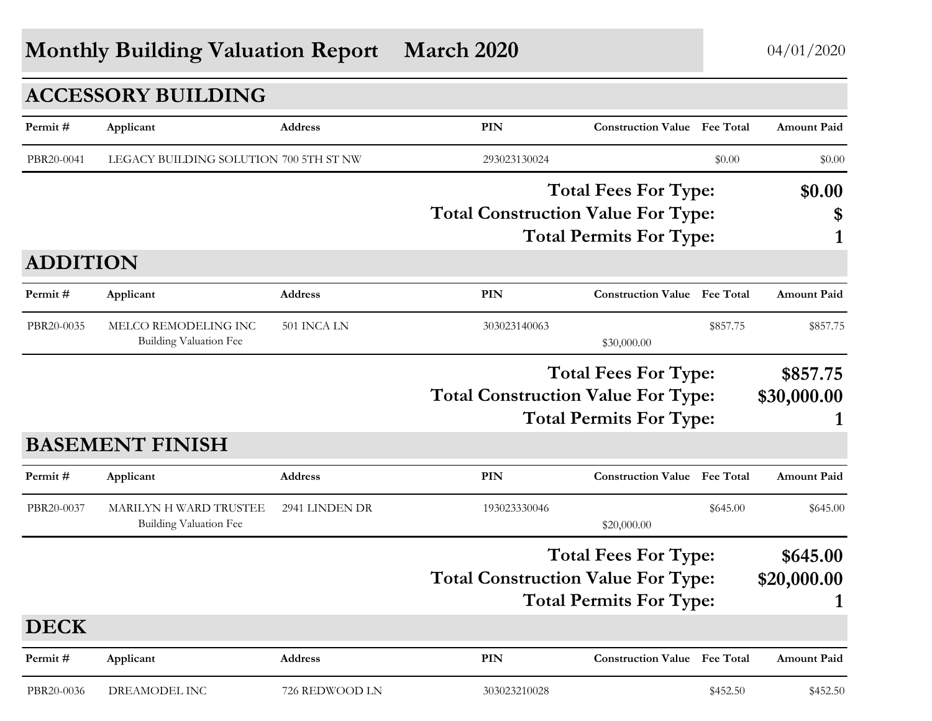## **Monthly Building Valuation Report March 2020** 04/01/2020

|                 | <b>ACCESSORY BUILDING</b>                        |                |                                           |                                                               |          |                         |
|-----------------|--------------------------------------------------|----------------|-------------------------------------------|---------------------------------------------------------------|----------|-------------------------|
| Permit#         | Applicant                                        | Address        | PIN                                       | <b>Construction Value Fee Total</b>                           |          | <b>Amount Paid</b>      |
| PBR20-0041      | LEGACY BUILDING SOLUTION 700 5TH ST NW           |                | 293023130024                              |                                                               | \$0.00   | \$0.00                  |
|                 |                                                  |                |                                           | <b>Total Fees For Type:</b>                                   |          | \$0.00                  |
|                 |                                                  |                | <b>Total Construction Value For Type:</b> |                                                               |          | \$                      |
|                 |                                                  |                |                                           | <b>Total Permits For Type:</b>                                |          | 1                       |
| <b>ADDITION</b> |                                                  |                |                                           |                                                               |          |                         |
| Permit#         | Applicant                                        | Address        | <b>PIN</b>                                | <b>Construction Value Fee Total</b>                           |          | <b>Amount Paid</b>      |
| PBR20-0035      | MELCO REMODELING INC<br>Building Valuation Fee   | 501 INCA LN    | 303023140063                              | \$30,000.00                                                   | \$857.75 | \$857.75                |
|                 |                                                  |                | <b>Total Construction Value For Type:</b> | <b>Total Fees For Type:</b><br><b>Total Permits For Type:</b> |          | \$857.75<br>\$30,000.00 |
|                 | <b>BASEMENT FINISH</b>                           |                |                                           |                                                               |          |                         |
| Permit#         | Applicant                                        | Address        | <b>PIN</b>                                | <b>Construction Value Fee Total</b>                           |          | <b>Amount Paid</b>      |
| PBR20-0037      | MARILYN H WARD TRUSTEE<br>Building Valuation Fee | 2941 LINDEN DR | 193023330046                              | \$20,000.00                                                   | \$645.00 | \$645.00                |
|                 |                                                  |                |                                           | <b>Total Fees For Type:</b>                                   |          | \$645.00                |
|                 |                                                  |                | <b>Total Construction Value For Type:</b> |                                                               |          | \$20,000.00             |
|                 |                                                  |                |                                           | <b>Total Permits For Type:</b>                                |          |                         |
| <b>DECK</b>     |                                                  |                |                                           |                                                               |          |                         |
| Permit#         | Applicant                                        | Address        | <b>PIN</b>                                | <b>Construction Value Fee Total</b>                           |          | <b>Amount Paid</b>      |
| PBR20-0036      | DREAMODEL INC                                    | 726 REDWOOD LN | 303023210028                              |                                                               | \$452.50 | \$452.50                |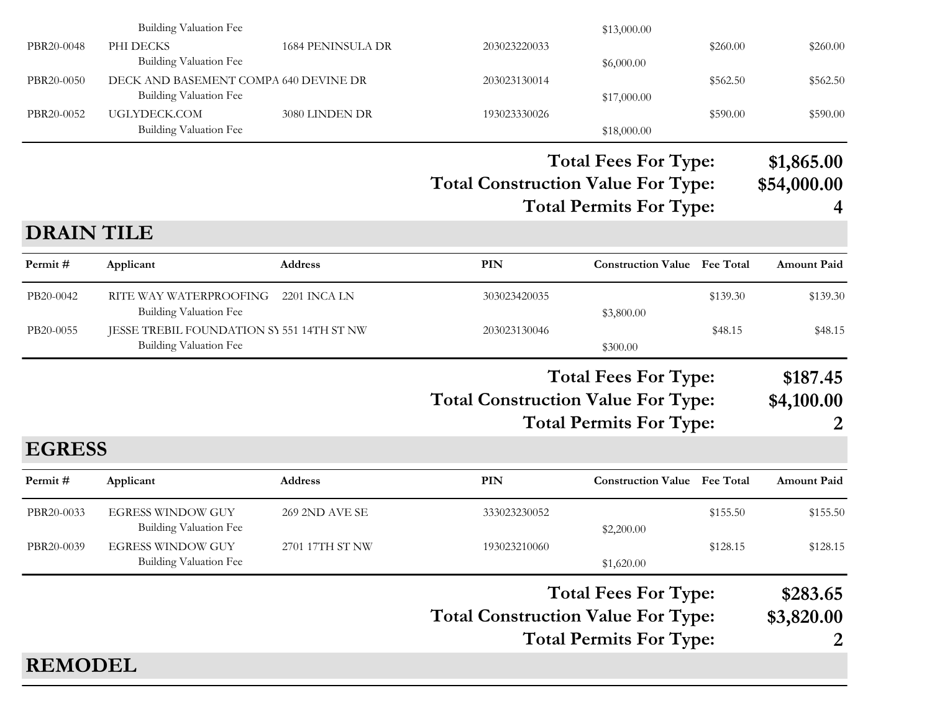|                   | <b>Building Valuation Fee</b>                                       |                   |                                           | \$13,000.00                         |          |                    |
|-------------------|---------------------------------------------------------------------|-------------------|-------------------------------------------|-------------------------------------|----------|--------------------|
| PBR20-0048        | PHI DECKS<br><b>Building Valuation Fee</b>                          | 1684 PENINSULA DR | 203023220033                              | \$6,000.00                          | \$260.00 | \$260.00           |
| PBR20-0050        | DECK AND BASEMENT COMPA 640 DEVINE DR<br>Building Valuation Fee     |                   | 203023130014                              | \$17,000.00                         | \$562.50 | \$562.50           |
| PBR20-0052        | UGLYDECK.COM<br>Building Valuation Fee                              | 3080 LINDEN DR    | 193023330026                              | \$18,000.00                         | \$590.00 | \$590.00           |
|                   |                                                                     |                   |                                           | <b>Total Fees For Type:</b>         |          | \$1,865.00         |
|                   |                                                                     |                   | <b>Total Construction Value For Type:</b> | <b>Total Permits For Type:</b>      |          | \$54,000.00        |
| <b>DRAIN TILE</b> |                                                                     |                   |                                           |                                     |          |                    |
| Permit#           | Applicant                                                           | <b>Address</b>    | <b>PIN</b>                                | <b>Construction Value Fee Total</b> |          | <b>Amount Paid</b> |
| PB20-0042         | RITE WAY WATERPROOFING<br><b>Building Valuation Fee</b>             | 2201 INCA LN      | 303023420035                              | \$3,800.00                          | \$139.30 | \$139.30           |
| PB20-0055         | JESSE TREBIL FOUNDATION SY 551 14TH ST NW<br>Building Valuation Fee |                   | 203023130046                              | \$300.00                            | \$48.15  | \$48.15            |
|                   |                                                                     |                   |                                           | <b>Total Fees For Type:</b>         |          | \$187.45           |
|                   |                                                                     |                   | <b>Total Construction Value For Type:</b> |                                     |          | \$4,100.00         |
|                   |                                                                     |                   |                                           | <b>Total Permits For Type:</b>      |          |                    |
| <b>EGRESS</b>     |                                                                     |                   |                                           |                                     |          |                    |
| Permit#           | Applicant                                                           | Address           | PIN                                       | <b>Construction Value</b> Fee Total |          | <b>Amount Paid</b> |
| PBR20-0033        | <b>EGRESS WINDOW GUY</b><br>Building Valuation Fee                  | 269 2ND AVE SE    | 333023230052                              | \$2,200.00                          | \$155.50 | \$155.50           |
| PBR20-0039        | <b>EGRESS WINDOW GUY</b><br><b>Building Valuation Fee</b>           | 2701 17TH ST NW   | 193023210060                              | \$1,620.00                          | \$128.15 | \$128.15           |
|                   |                                                                     |                   |                                           | <b>Total Fees For Type:</b>         |          | \$283.65           |
|                   |                                                                     |                   | <b>Total Construction Value For Type:</b> |                                     |          | \$3,820.00         |
|                   |                                                                     |                   |                                           | <b>Total Permits For Type:</b>      |          | 2                  |
| <b>REMODEL</b>    |                                                                     |                   |                                           |                                     |          |                    |
|                   |                                                                     |                   |                                           |                                     |          |                    |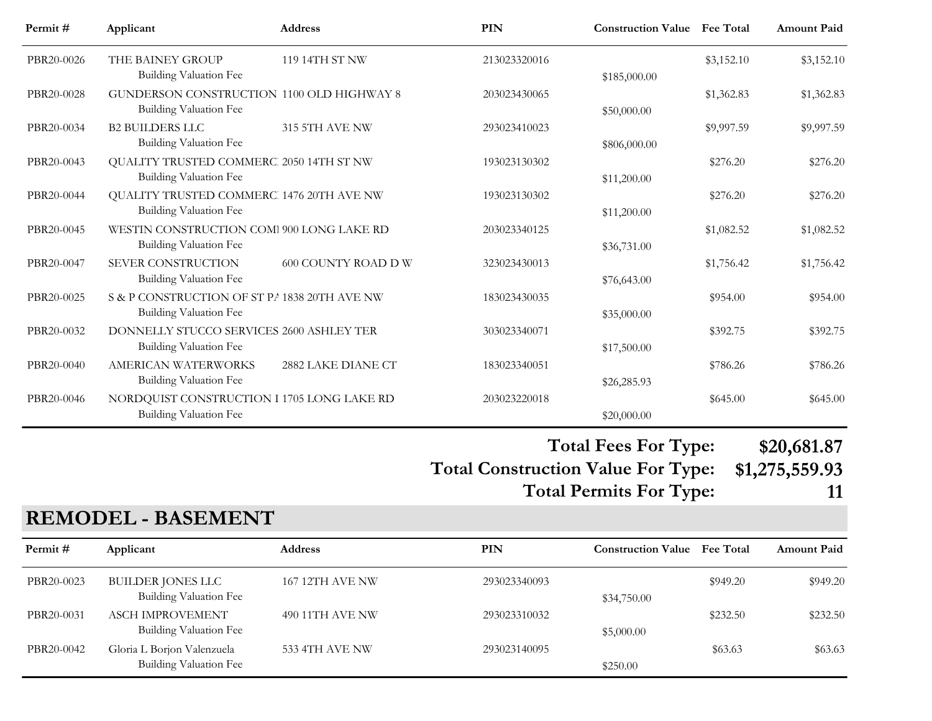| Permit#    | Applicant                                                                     | <b>Address</b>      | PIN          | <b>Construction Value Fee Total</b> |            | <b>Amount Paid</b> |
|------------|-------------------------------------------------------------------------------|---------------------|--------------|-------------------------------------|------------|--------------------|
| PBR20-0026 | THE BAINEY GROUP<br><b>Building Valuation Fee</b>                             | 119 14TH ST NW      | 213023320016 | \$185,000.00                        | \$3,152.10 | \$3,152.10         |
| PBR20-0028 | GUNDERSON CONSTRUCTION 1100 OLD HIGHWAY 8<br>Building Valuation Fee           |                     | 203023430065 | \$50,000.00                         | \$1,362.83 | \$1,362.83         |
| PBR20-0034 | <b>B2 BUILDERS LLC</b><br>Building Valuation Fee                              | 315 5TH AVE NW      | 293023410023 | \$806,000.00                        | \$9,997.59 | \$9,997.59         |
| PBR20-0043 | QUALITY TRUSTED COMMERC 2050 14TH ST NW<br>Building Valuation Fee             |                     | 193023130302 | \$11,200.00                         | \$276.20   | \$276.20           |
| PBR20-0044 | QUALITY TRUSTED COMMERC 1476 20TH AVE NW<br>Building Valuation Fee            |                     | 193023130302 | \$11,200.00                         | \$276.20   | \$276.20           |
| PBR20-0045 | WESTIN CONSTRUCTION COM 900 LONG LAKE RD<br>Building Valuation Fee            |                     | 203023340125 | \$36,731.00                         | \$1,082.52 | \$1,082.52         |
| PBR20-0047 | SEVER CONSTRUCTION<br><b>Building Valuation Fee</b>                           | 600 COUNTY ROAD D W | 323023430013 | \$76,643.00                         | \$1,756.42 | \$1,756.42         |
| PBR20-0025 | S & P CONSTRUCTION OF ST P/ 1838 20TH AVE NW<br><b>Building Valuation Fee</b> |                     | 183023430035 | \$35,000.00                         | \$954.00   | \$954.00           |
| PBR20-0032 | DONNELLY STUCCO SERVICES 2600 ASHLEY TER<br>Building Valuation Fee            |                     | 303023340071 | \$17,500.00                         | \$392.75   | \$392.75           |
| PBR20-0040 | <b>AMERICAN WATERWORKS</b><br>Building Valuation Fee                          | 2882 LAKE DIANE CT  | 183023340051 | \$26,285.93                         | \$786.26   | \$786.26           |
| PBR20-0046 | NORDQUIST CONSTRUCTION I 1705 LONG LAKE RD<br>Building Valuation Fee          |                     | 203023220018 | \$20,000.00                         | \$645.00   | \$645.00           |

### **Total Construction Value For Type: \$1,275,559.93 Total Fees For Type: \$20,681.87**

**Total Permits For Type:** 

|  | ۰. | ۰. |
|--|----|----|
|  |    |    |
|  |    |    |
|  |    |    |

### **REMODEL - BASEMENT**

| Permit #   | Applicant                                            | <b>Address</b>         | PIN          | <b>Construction Value</b> Fee Total |          | <b>Amount Paid</b> |
|------------|------------------------------------------------------|------------------------|--------------|-------------------------------------|----------|--------------------|
| PBR20-0023 | BUILDER JONES LLC<br>Building Valuation Fee          | <b>167 12TH AVE NW</b> | 293023340093 | \$34,750.00                         | \$949.20 | \$949.20           |
| PBR20-0031 | <b>ASCH IMPROVEMENT</b><br>Building Valuation Fee    | 490 11TH AVE NW        | 293023310032 | \$5,000.00                          | \$232.50 | \$232.50           |
| PBR20-0042 | Gloria L Borjon Valenzuela<br>Building Valuation Fee | 533 4TH AVE NW         | 293023140095 | \$250.00                            | \$63.63  | \$63.63            |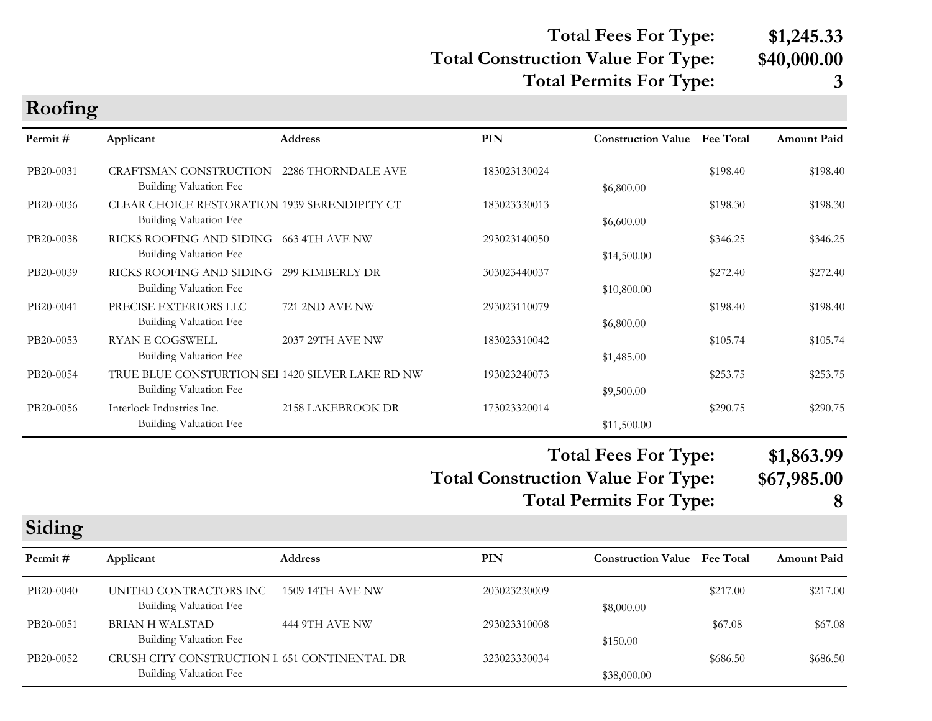### **Total Construction Value For Type: \$40,000.00 Total Fees For Type: \$1,245.33 Total Permits For Type: 3**

| Roofing   |                                                                               |                       |                                                                                                            |                           |                  |                                |
|-----------|-------------------------------------------------------------------------------|-----------------------|------------------------------------------------------------------------------------------------------------|---------------------------|------------------|--------------------------------|
| Permit#   | Applicant                                                                     | <b>Address</b>        | PIN                                                                                                        | <b>Construction Value</b> | <b>Fee Total</b> | <b>Amount Paid</b>             |
| PB20-0031 | CRAFTSMAN CONSTRUCTION<br><b>Building Valuation Fee</b>                       | 2286 THORNDALE AVE    | 183023130024                                                                                               | \$6,800.00                | \$198.40         | \$198.40                       |
| PB20-0036 | CLEAR CHOICE RESTORATION 1939 SERENDIPITY CT<br><b>Building Valuation Fee</b> |                       | 183023330013                                                                                               | \$6,600.00                | \$198.30         | \$198.30                       |
| PB20-0038 | RICKS ROOFING AND SIDING 663 4TH AVE NW<br>Building Valuation Fee             |                       | 293023140050                                                                                               | \$14,500.00               | \$346.25         | \$346.25                       |
| PB20-0039 | RICKS ROOFING AND SIDING<br>Building Valuation Fee                            | 299 KIMBERLY DR       | 303023440037                                                                                               | \$10,800.00               | \$272.40         | \$272.40                       |
| PB20-0041 | PRECISE EXTERIORS LLC<br>Building Valuation Fee                               | <b>721 2ND AVE NW</b> | 293023110079                                                                                               | \$6,800.00                | \$198.40         | \$198.40                       |
| PB20-0053 | <b>RYAN E COGSWELL</b><br>Building Valuation Fee                              | 2037 29TH AVE NW      | 183023310042                                                                                               | \$1,485.00                | \$105.74         | \$105.74                       |
| PB20-0054 | TRUE BLUE CONSTURTION SEI 1420 SILVER LAKE RD NW<br>Building Valuation Fee    |                       | 193023240073                                                                                               | \$9,500.00                | \$253.75         | \$253.75                       |
| PB20-0056 | Interlock Industries Inc.<br><b>Building Valuation Fee</b>                    | 2158 LAKEBROOK DR     | 173023320014                                                                                               | \$11,500.00               | \$290.75         | \$290.75                       |
|           |                                                                               |                       | <b>Total Fees For Type:</b><br><b>Total Construction Value For Type:</b><br><b>Total Permits For Type:</b> |                           |                  | \$1,863.99<br>\$67,985.00<br>8 |
| Siding    |                                                                               |                       |                                                                                                            |                           |                  |                                |

| Permit#   | Applicant                                                              | <b>Address</b>   | <b>PIN</b>   | <b>Construction Value</b> Fee Total |          | <b>Amount Paid</b> |
|-----------|------------------------------------------------------------------------|------------------|--------------|-------------------------------------|----------|--------------------|
| PB20-0040 | UNITED CONTRACTORS INC<br>Building Valuation Fee                       | 1509 14TH AVE NW | 203023230009 | \$8,000.00                          | \$217.00 | \$217.00           |
| PB20-0051 | BRIAN H WALSTAD<br>Building Valuation Fee                              | 444 9TH AVE NW   | 293023310008 | \$150.00                            | \$67.08  | \$67.08            |
| PB20-0052 | CRUSH CITY CONSTRUCTION I 651 CONTINENTAL DR<br>Building Valuation Fee |                  | 323023330034 | \$38,000.00                         | \$686.50 | \$686.50           |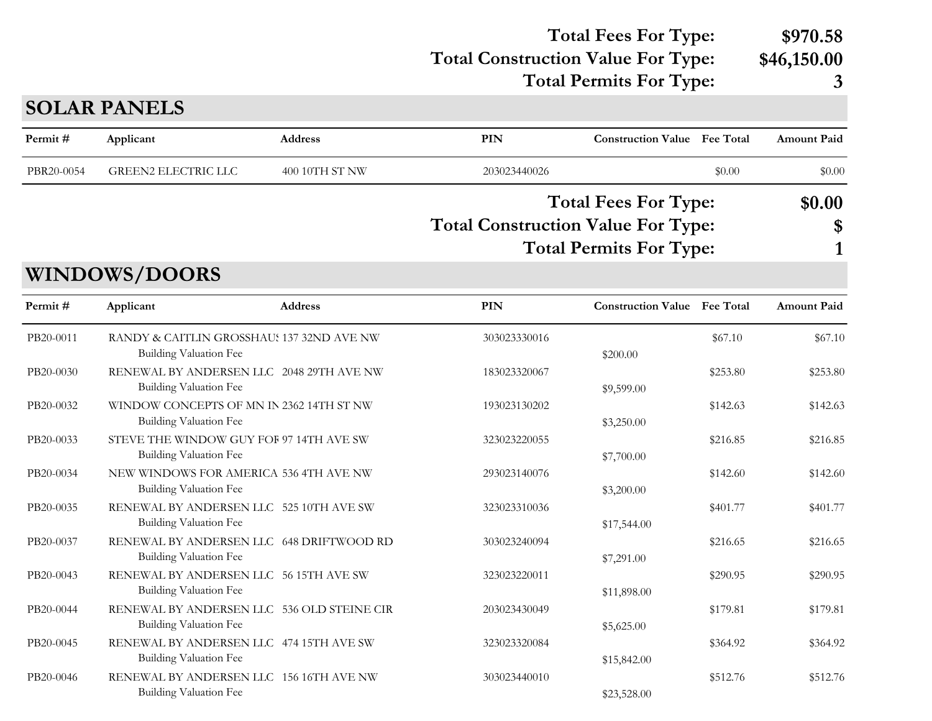#### **Total Construction Value For Type: \$46,150.00 Total Fees For Type: \$970.58 Total Permits For Type: 3**

**PIN Construction Value Permit # Applicant Address Fee Total Amount Paid** PBR20-0054 GREEN2 ELECTRIC LLC 400 10TH ST NW 203023440026 \$0.00 \$0.00 \$0.00 \$0.00 **Total Construction Value For Type: \$ Total Fees For Type: \$0.00 Total Permits For Type: 1 WINDOWS/DOORS**

| Permit#   | Applicant                                                                 | <b>Address</b> | PIN          | <b>Construction Value</b> Fee Total |          | <b>Amount Paid</b> |
|-----------|---------------------------------------------------------------------------|----------------|--------------|-------------------------------------|----------|--------------------|
| PB20-0011 | RANDY & CAITLIN GROSSHAU: 137 32ND AVE NW<br>Building Valuation Fee       |                | 303023330016 | \$200.00                            | \$67.10  | \$67.10            |
| PB20-0030 | RENEWAL BY ANDERSEN LLC 2048 29TH AVE NW<br><b>Building Valuation Fee</b> |                | 183023320067 | \$9,599.00                          | \$253.80 | \$253.80           |
| PB20-0032 | WINDOW CONCEPTS OF MN IN 2362 14TH ST NW<br>Building Valuation Fee        |                | 193023130202 | \$3,250.00                          | \$142.63 | \$142.63           |
| PB20-0033 | STEVE THE WINDOW GUY FOF 97 14TH AVE SW<br>Building Valuation Fee         |                | 323023220055 | \$7,700.00                          | \$216.85 | \$216.85           |
| PB20-0034 | NEW WINDOWS FOR AMERICA 536 4TH AVE NW<br>Building Valuation Fee          |                | 293023140076 | \$3,200.00                          | \$142.60 | \$142.60           |
| PB20-0035 | RENEWAL BY ANDERSEN LLC 525 10TH AVE SW<br>Building Valuation Fee         |                | 323023310036 | \$17,544.00                         | \$401.77 | \$401.77           |
| PB20-0037 | RENEWAL BY ANDERSEN LLC 648 DRIFTWOOD RD<br>Building Valuation Fee        |                | 303023240094 | \$7,291.00                          | \$216.65 | \$216.65           |
| PB20-0043 | RENEWAL BY ANDERSEN LLC 56 15TH AVE SW<br>Building Valuation Fee          |                | 323023220011 | \$11,898.00                         | \$290.95 | \$290.95           |
| PB20-0044 | RENEWAL BY ANDERSEN LLC 536 OLD STEINE CIR<br>Building Valuation Fee      |                | 203023430049 | \$5,625.00                          | \$179.81 | \$179.81           |
| PB20-0045 | RENEWAL BY ANDERSEN LLC 474 15TH AVE SW<br>Building Valuation Fee         |                | 323023320084 | \$15,842.00                         | \$364.92 | \$364.92           |
| PB20-0046 | RENEWAL BY ANDERSEN LLC 156 16TH AVE NW<br><b>Building Valuation Fee</b>  |                | 303023440010 | \$23,528.00                         | \$512.76 | \$512.76           |

#### **SOLAR PANELS**